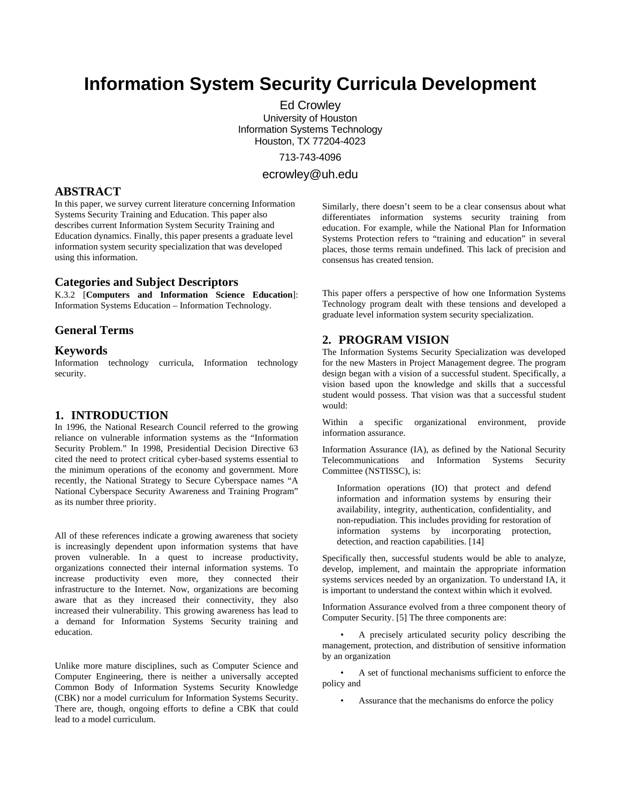# **Information System Security Curricula Development**

Ed Crowley University of Houston Information Systems Technology Houston, TX 77204-4023 713-743-4096

ecrowley@uh.edu

# **ABSTRACT**

In this paper, we survey current literature concerning Information Systems Security Training and Education. This paper also describes current Information System Security Training and Education dynamics. Finally, this paper presents a graduate level information system security specialization that was developed using this information.

#### **Categories and Subject Descriptors**

K.3.2 [**Computers and Information Science Education**]: Information Systems Education – Information Technology*.* 

# **General Terms**

#### **Keywords**

Information technology curricula, Information technology security.

#### **1. INTRODUCTION**

In 1996, the National Research Council referred to the growing reliance on vulnerable information systems as the "Information Security Problem." In 1998, Presidential Decision Directive 63 cited the need to protect critical cyber-based systems essential to the minimum operations of the economy and government. More recently, the National Strategy to Secure Cyberspace names "A National Cyberspace Security Awareness and Training Program" as its number three priority.

All of these references indicate a growing awareness that society is increasingly dependent upon information systems that have proven vulnerable. In a quest to increase productivity, organizations connected their internal information systems. To increase productivity even more, they connected their infrastructure to the Internet. Now, organizations are becoming aware that as they increased their connectivity, they also increased their vulnerability. This growing awareness has lead to a demand for Information Systems Security training and education.

Unlike more mature disciplines, such as Computer Science and Computer Engineering, there is neither a universally accepted Common Body of Information Systems Security Knowledge (CBK) nor a model curriculum for Information Systems Security. There are, though, ongoing efforts to define a CBK that could lead to a model curriculum.

Similarly, there doesn't seem to be a clear consensus about what differentiates information systems security training from education. For example, while the National Plan for Information Systems Protection refers to "training and education" in several places, those terms remain undefined. This lack of precision and consensus has created tension.

This paper offers a perspective of how one Information Systems Technology program dealt with these tensions and developed a graduate level information system security specialization.

#### **2. PROGRAM VISION**

The Information Systems Security Specialization was developed for the new Masters in Project Management degree. The program design began with a vision of a successful student. Specifically, a vision based upon the knowledge and skills that a successful student would possess. That vision was that a successful student would:

Within a specific organizational environment, provide information assurance.

Information Assurance (IA), as defined by the National Security Telecommunications and Information Systems Security Committee (NSTISSC), is:

Information operations (IO) that protect and defend information and information systems by ensuring their availability, integrity, authentication, confidentiality, and non-repudiation. This includes providing for restoration of information systems by incorporating protection, detection, and reaction capabilities. [14]

Specifically then, successful students would be able to analyze, develop, implement, and maintain the appropriate information systems services needed by an organization. To understand IA, it is important to understand the context within which it evolved.

Information Assurance evolved from a three component theory of Computer Security. [5] The three components are:

• A precisely articulated security policy describing the management, protection, and distribution of sensitive information by an organization

• A set of functional mechanisms sufficient to enforce the policy and

Assurance that the mechanisms do enforce the policy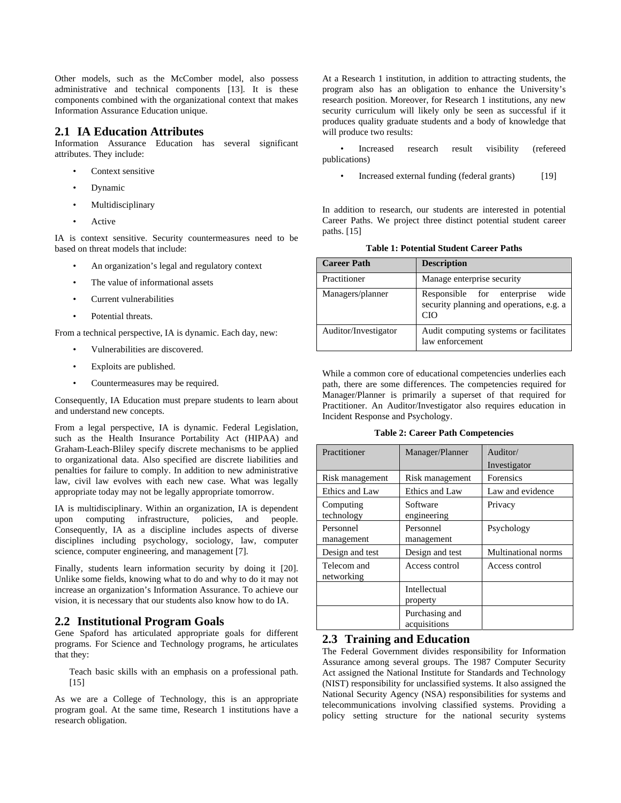Other models, such as the McComber model, also possess administrative and technical components [13]. It is these components combined with the organizational context that makes Information Assurance Education unique.

#### **2.1 IA Education Attributes**

Information Assurance Education has several significant attributes. They include:

- Context sensitive
- Dynamic
- **Multidisciplinary**
- **Active**

IA is context sensitive. Security countermeasures need to be based on threat models that include:

- An organization's legal and regulatory context
- The value of informational assets
- Current vulnerabilities
- Potential threats.

From a technical perspective, IA is dynamic. Each day, new:

- Vulnerabilities are discovered.
- Exploits are published.
- Countermeasures may be required.

Consequently, IA Education must prepare students to learn about and understand new concepts.

From a legal perspective, IA is dynamic. Federal Legislation, such as the Health Insurance Portability Act (HIPAA) and Graham-Leach-Bliley specify discrete mechanisms to be applied to organizational data. Also specified are discrete liabilities and penalties for failure to comply. In addition to new administrative law, civil law evolves with each new case. What was legally appropriate today may not be legally appropriate tomorrow.

IA is multidisciplinary. Within an organization, IA is dependent upon computing infrastructure, policies, and people. Consequently, IA as a discipline includes aspects of diverse disciplines including psychology, sociology, law, computer science, computer engineering, and management [7].

Finally, students learn information security by doing it [20]. Unlike some fields, knowing what to do and why to do it may not increase an organization's Information Assurance. To achieve our vision, it is necessary that our students also know how to do IA.

## **2.2 Institutional Program Goals**

Gene Spaford has articulated appropriate goals for different programs. For Science and Technology programs, he articulates that they:

Teach basic skills with an emphasis on a professional path. [15]

As we are a College of Technology, this is an appropriate program goal. At the same time, Research 1 institutions have a research obligation.

At a Research 1 institution, in addition to attracting students, the program also has an obligation to enhance the University's research position. Moreover, for Research 1 institutions, any new security curriculum will likely only be seen as successful if it produces quality graduate students and a body of knowledge that will produce two results:

• Increased research result visibility (refereed publications)

Increased external funding (federal grants) [19]

In addition to research, our students are interested in potential Career Paths. We project three distinct potential student career paths. [15]

**Table 1: Potential Student Career Paths** 

| <b>Career Path</b>   | <b>Description</b>                                                                    |
|----------------------|---------------------------------------------------------------------------------------|
| Practitioner         | Manage enterprise security                                                            |
| Managers/planner     | Responsible for enterprise<br>wide<br>security planning and operations, e.g. a<br>CIO |
| Auditor/Investigator | Audit computing systems or facilitates<br>law enforcement                             |

While a common core of educational competencies underlies each path, there are some differences. The competencies required for Manager/Planner is primarily a superset of that required for Practitioner. An Auditor/Investigator also requires education in Incident Response and Psychology.

**Table 2: Career Path Competencies** 

| Practitioner              | Manager/Planner                | Auditor/<br>Investigator |
|---------------------------|--------------------------------|--------------------------|
| Risk management           | Risk management                | <b>Forensics</b>         |
| Ethics and Law            | Ethics and Law                 | Law and evidence         |
| Computing<br>technology   | Software<br>engineering        | Privacy                  |
| Personnel<br>management   | Personnel<br>management        | Psychology               |
| Design and test           | Design and test                | Multinational norms      |
| Telecom and<br>networking | Access control                 | Access control           |
|                           | Intellectual<br>property       |                          |
|                           | Purchasing and<br>acquisitions |                          |

#### **2.3 Training and Education**

The Federal Government divides responsibility for Information Assurance among several groups. The 1987 Computer Security Act assigned the National Institute for Standards and Technology (NIST) responsibility for unclassified systems. It also assigned the National Security Agency (NSA) responsibilities for systems and telecommunications involving classified systems. Providing a policy setting structure for the national security systems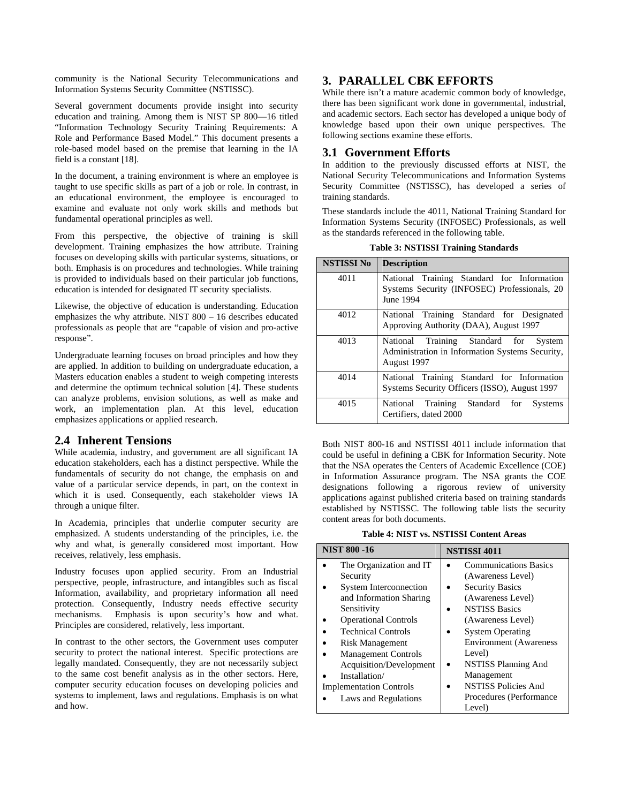community is the National Security Telecommunications and Information Systems Security Committee (NSTISSC).

Several government documents provide insight into security education and training. Among them is NIST SP 800—16 titled "Information Technology Security Training Requirements: A Role and Performance Based Model." This document presents a role-based model based on the premise that learning in the IA field is a constant [18].

In the document, a training environment is where an employee is taught to use specific skills as part of a job or role. In contrast, in an educational environment, the employee is encouraged to examine and evaluate not only work skills and methods but fundamental operational principles as well.

From this perspective, the objective of training is skill development. Training emphasizes the how attribute. Training focuses on developing skills with particular systems, situations, or both. Emphasis is on procedures and technologies. While training is provided to individuals based on their particular job functions, education is intended for designated IT security specialists.

Likewise, the objective of education is understanding. Education emphasizes the why attribute. NIST 800 – 16 describes educated professionals as people that are "capable of vision and pro-active response".

Undergraduate learning focuses on broad principles and how they are applied. In addition to building on undergraduate education, a Masters education enables a student to weigh competing interests and determine the optimum technical solution [4]. These students can analyze problems, envision solutions, as well as make and work, an implementation plan. At this level, education emphasizes applications or applied research.

## **2.4 Inherent Tensions**

While academia, industry, and government are all significant IA education stakeholders, each has a distinct perspective. While the fundamentals of security do not change, the emphasis on and value of a particular service depends, in part, on the context in which it is used. Consequently, each stakeholder views IA through a unique filter.

In Academia, principles that underlie computer security are emphasized. A students understanding of the principles, i.e. the why and what, is generally considered most important. How receives, relatively, less emphasis.

Industry focuses upon applied security. From an Industrial perspective, people, infrastructure, and intangibles such as fiscal Information, availability, and proprietary information all need protection. Consequently, Industry needs effective security mechanisms. Emphasis is upon security's how and what. Principles are considered, relatively, less important.

In contrast to the other sectors, the Government uses computer security to protect the national interest. Specific protections are legally mandated. Consequently, they are not necessarily subject to the same cost benefit analysis as in the other sectors. Here, computer security education focuses on developing policies and systems to implement, laws and regulations. Emphasis is on what and how.

# **3. PARALLEL CBK EFFORTS**

While there isn't a mature academic common body of knowledge, there has been significant work done in governmental, industrial, and academic sectors. Each sector has developed a unique body of knowledge based upon their own unique perspectives. The following sections examine these efforts.

#### **3.1 Government Efforts**

In addition to the previously discussed efforts at NIST, the National Security Telecommunications and Information Systems Security Committee (NSTISSC), has developed a series of training standards.

These standards include the 4011, National Training Standard for Information Systems Security (INFOSEC) Professionals, as well as the standards referenced in the following table.

| <b>NSTISSI No</b> | <b>Description</b>                                                                                      |
|-------------------|---------------------------------------------------------------------------------------------------------|
| 4011              | National Training Standard for Information<br>Systems Security (INFOSEC) Professionals, 20<br>June 1994 |
| 4012              | National Training Standard for Designated<br>Approving Authority (DAA), August 1997                     |
| 4013              | National Training Standard for System<br>Administration in Information Systems Security,<br>August 1997 |
| 4014              | National Training Standard for Information<br>Systems Security Officers (ISSO), August 1997             |
| 4015              | National Training Standard for<br><b>Systems</b><br>Certifiers, dated 2000                              |

**Table 3: NSTISSI Training Standards** 

Both NIST 800-16 and NSTISSI 4011 include information that could be useful in defining a CBK for Information Security. Note that the NSA operates the Centers of Academic Excellence (COE) in Information Assurance program. The NSA grants the COE designations following a rigorous review of university applications against published criteria based on training standards established by NSTISSC. The following table lists the security content areas for both documents.

**Table 4: NIST vs. NSTISSI Content Areas** 

| <b>NIST 800 -16</b>            | <b>NSTISSI 4011</b>           |  |
|--------------------------------|-------------------------------|--|
| The Organization and IT        | <b>Communications Basics</b>  |  |
| Security                       | (Awareness Level)             |  |
| <b>System Interconnection</b>  | <b>Security Basics</b>        |  |
| and Information Sharing        | (Awareness Level)             |  |
| Sensitivity                    | <b>NSTISS Basics</b>          |  |
| <b>Operational Controls</b>    | (Awareness Level)             |  |
| <b>Technical Controls</b>      | <b>System Operating</b>       |  |
| <b>Risk Management</b>         | <b>Environment</b> (Awareness |  |
| <b>Management Controls</b>     | Level)                        |  |
| Acquisition/Development        | <b>NSTISS Planning And</b>    |  |
| Installation/                  | Management                    |  |
| <b>Implementation Controls</b> | <b>NSTISS Policies And</b>    |  |
| Laws and Regulations           | Procedures (Performance)      |  |
|                                | Level)                        |  |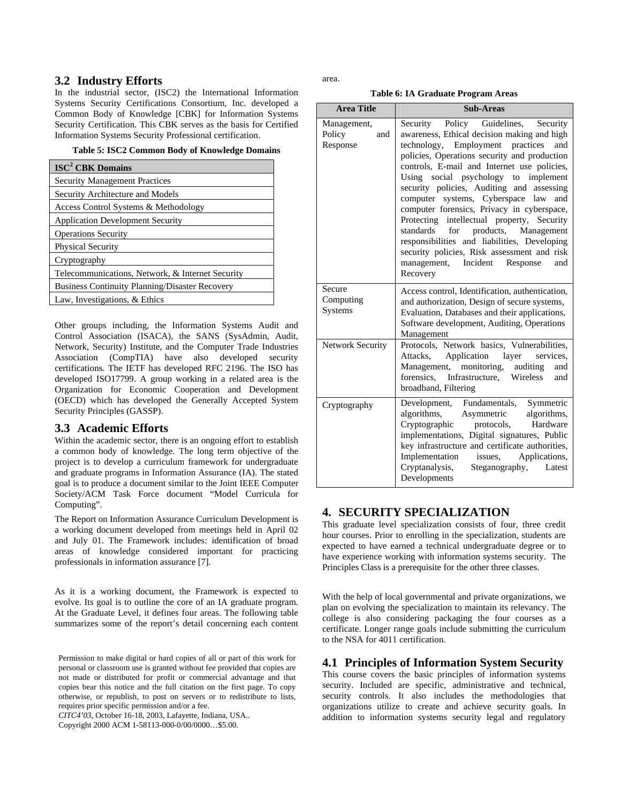# **3.2 Industry Efforts**

In the industrial sector, (ISC2) the International Information Systems Security Certifications Consortium, Inc. developed a Common Body of Knowledge [CBK] for Information Systems Security Certification. This CBK serves as the basis for Certified Information Systems Security Professional certification.

**Table 5: ISC2 Common Body of Knowledge Domains** 

| ISC <sup>2</sup> CBK Domains                          |  |  |
|-------------------------------------------------------|--|--|
| <b>Security Management Practices</b>                  |  |  |
| Security Architecture and Models                      |  |  |
| Access Control Systems & Methodology                  |  |  |
| <b>Application Development Security</b>               |  |  |
| <b>Operations Security</b>                            |  |  |
| <b>Physical Security</b>                              |  |  |
| Cryptography                                          |  |  |
| Telecommunications, Network, & Internet Security      |  |  |
| <b>Business Continuity Planning/Disaster Recovery</b> |  |  |
| Law, Investigations, & Ethics                         |  |  |

Other groups including, the Information Systems Audit and Control Association (ISACA), the SANS (SysAdmin, Audit, Network, Security) Institute, and the Computer Trade Industries Association (CompTIA) have also developed security certifications. The IETF has developed RFC 2196. The ISO has developed ISO17799. A group working in a related area is the Organization for Economic Cooperation and Development (OECD) which has developed the Generally Accepted System Security Principles (GASSP).

## **3.3 Academic Efforts**

Within the academic sector, there is an ongoing effort to establish a common body of knowledge. The long term objective of the project is to develop a curriculum framework for undergraduate and graduate programs in Information Assurance (IA). The stated goal is to produce a document similar to the Joint IEEE Computer Society/ACM Task Force document "Model Curricula for Computing".

The Report on Information Assurance Curriculum Development is a working document developed from meetings held in April 02 and July 01. The Framework includes: identification of broad areas of knowledge considered important for practicing professionals in information assurance [7].

As it is a working document, the Framework is expected to evolve. Its goal is to outline the core of an IA graduate program. At the Graduate Level, it defines four areas. The following table summarizes some of the report's detail concerning each content

Permission to make digital or hard copies of all or part of this work for personal or classroom use is granted without fee provided that copies are not made or distributed for profit or commercial advantage and that copies bear this notice and the full citation on the first page. To copy otherwise, or republish, to post on servers or to redistribute to lists, requires prior specific permission and/or a fee.

*CITC4'03,* October 16-18, 2003, Lafayette, Indiana, USA..

Copyright 2000 ACM 1-58113-000-0/00/0000…\$5.00.

area.

**Table 6: IA Graduate Program Areas** 

| <b>Area Title</b>                        | <b>Sub-Areas</b>                                                                                                                                                                                                                                                                                                                                                                                                                                                                                                                                                                                                                                               |  |
|------------------------------------------|----------------------------------------------------------------------------------------------------------------------------------------------------------------------------------------------------------------------------------------------------------------------------------------------------------------------------------------------------------------------------------------------------------------------------------------------------------------------------------------------------------------------------------------------------------------------------------------------------------------------------------------------------------------|--|
| Management,<br>Policy<br>and<br>Response | Security Policy Guidelines,<br>Security<br>awareness, Ethical decision making and high<br>technology, Employment practices<br>and<br>policies, Operations security and production<br>controls, E-mail and Internet use policies,<br>Using social psychology to implement<br>security policies, Auditing and<br>assessing<br>computer systems, Cyberspace<br>law<br>and<br>computer forensics, Privacy in cyberspace,<br>Protecting intellectual property, Security<br>standards<br>for products, Management<br>responsibilities and liabilities, Developing<br>security policies, Risk assessment and risk<br>management, Incident Response<br>and<br>Recovery |  |
| Secure<br>Computing<br>Systems           | Access control, Identification, authentication,<br>and authorization, Design of secure systems,<br>Evaluation, Databases and their applications,<br>Software development, Auditing, Operations<br>Management                                                                                                                                                                                                                                                                                                                                                                                                                                                   |  |
| <b>Network Security</b>                  | Protocols, Network basics, Vulnerabilities,<br>Attacks, Application<br>services,<br>layer<br>Management, monitoring, auditing<br>and<br>forensics, Infrastructure, Wireless<br>and<br>broadband, Filtering                                                                                                                                                                                                                                                                                                                                                                                                                                                     |  |
| Cryptography                             | Development, Fundamentals,<br>Symmetric<br>Asymmetric<br>algorithms,<br>algorithms,<br>protocols,<br>Hardware<br>Cryptographic<br>implementations, Digital signatures, Public<br>key infrastructure and certificate authorities,<br>Implementation<br>issues.<br>Applications,<br>Cryptanalysis,<br>Steganography,<br>Latest<br>Developments                                                                                                                                                                                                                                                                                                                   |  |

# **4. SECURITY SPECIALIZATION**

This graduate level specialization consists of four, three credit hour courses. Prior to enrolling in the specialization, students are expected to have earned a technical undergraduate degree or to have experience working with information systems security. The Principles Class is a prerequisite for the other three classes.

With the help of local governmental and private organizations, we plan on evolving the specialization to maintain its relevancy. The college is also considering packaging the four courses as a certificate. Longer range goals include submitting the curriculum to the NSA for 4011 certification.

## **4.1 Principles of Information System Security**

This course covers the basic principles of information systems security. Included are specific, administrative and technical, security controls. It also includes the methodologies that organizations utilize to create and achieve security goals. In addition to information systems security legal and regulatory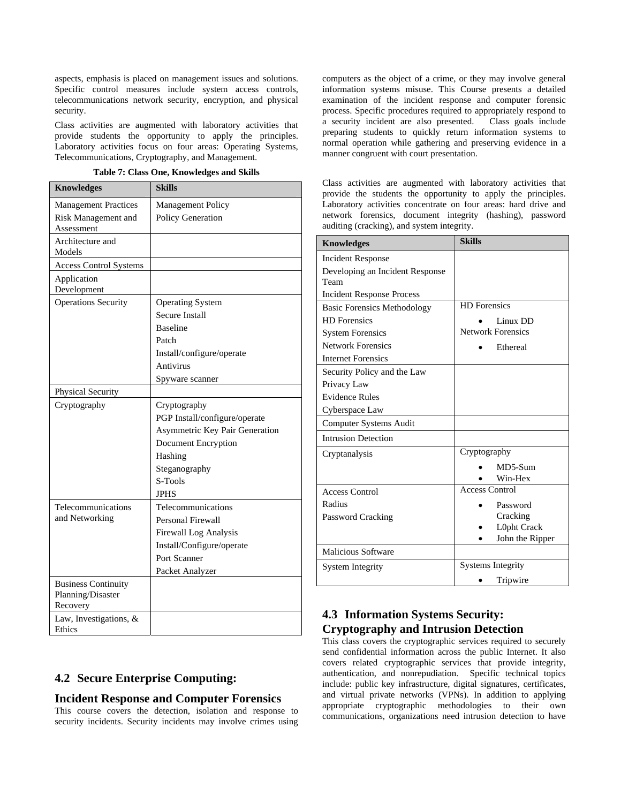aspects, emphasis is placed on management issues and solutions. Specific control measures include system access controls, telecommunications network security, encryption, and physical security.

Class activities are augmented with laboratory activities that provide students the opportunity to apply the principles. Laboratory activities focus on four areas: Operating Systems, Telecommunications, Cryptography, and Management.

**Table 7: Class One, Knowledges and Skills** 

| <b>Knowledges</b>             | <b>Skills</b>                  |
|-------------------------------|--------------------------------|
| <b>Management Practices</b>   | Management Policy              |
| Risk Management and           | Policy Generation              |
| Assessment                    |                                |
| Architecture and              |                                |
| Models                        |                                |
| <b>Access Control Systems</b> |                                |
| Application<br>Development    |                                |
| <b>Operations Security</b>    | <b>Operating System</b>        |
|                               | Secure Install                 |
|                               | <b>Baseline</b>                |
|                               | Patch                          |
|                               | Install/configure/operate      |
|                               | Antivirus                      |
|                               | Spyware scanner                |
| Physical Security             |                                |
| Cryptography                  | Cryptography                   |
|                               | PGP Install/configure/operate  |
|                               | Asymmetric Key Pair Generation |
|                               | Document Encryption            |
|                               | Hashing                        |
|                               | Steganography                  |
|                               | S-Tools                        |
|                               | <b>JPHS</b>                    |
| Telecommunications            | Telecommunications             |
| and Networking                | Personal Firewall              |
|                               | Firewall Log Analysis          |
|                               | Install/Configure/operate      |
|                               | Port Scanner                   |
|                               | Packet Analyzer                |
| <b>Business Continuity</b>    |                                |
| Planning/Disaster<br>Recovery |                                |
| Law, Investigations, &        |                                |
| Ethics                        |                                |

# **4.2 Secure Enterprise Computing:**

#### **Incident Response and Computer Forensics**

This course covers the detection, isolation and response to security incidents. Security incidents may involve crimes using computers as the object of a crime, or they may involve general information systems misuse. This Course presents a detailed examination of the incident response and computer forensic process. Specific procedures required to appropriately respond to a security incident are also presented. Class goals include preparing students to quickly return information systems to normal operation while gathering and preserving evidence in a manner congruent with court presentation.

Class activities are augmented with laboratory activities that provide the students the opportunity to apply the principles. Laboratory activities concentrate on four areas: hard drive and network forensics, document integrity (hashing), password auditing (cracking), and system integrity.

| <b>Knowledges</b>                                           | <b>Skills</b>                                                                          |
|-------------------------------------------------------------|----------------------------------------------------------------------------------------|
| <b>Incident Response</b><br>Developing an Incident Response |                                                                                        |
| Team<br><b>Incident Response Process</b>                    |                                                                                        |
| <b>Basic Forensics Methodology</b><br><b>HD</b> Forensics   | <b>HD</b> Forensics                                                                    |
| <b>System Forensics</b>                                     | Linux DD<br><b>Network Forensics</b>                                                   |
| <b>Network Forensics</b><br><b>Internet Forensics</b>       | Ethereal                                                                               |
| Security Policy and the Law<br>Privacy Law                  |                                                                                        |
| <b>Evidence Rules</b><br>Cyberspace Law                     |                                                                                        |
| Computer Systems Audit                                      |                                                                                        |
| <b>Intrusion Detection</b>                                  |                                                                                        |
| Cryptanalysis                                               | Cryptography<br>MD5-Sum<br>Win-Hex                                                     |
| <b>Access Control</b><br>Radius<br>Password Cracking        | <b>Access Control</b><br>Password<br>Cracking<br><b>L0pht Crack</b><br>John the Ripper |
| <b>Malicious Software</b>                                   |                                                                                        |
| <b>System Integrity</b>                                     | <b>Systems Integrity</b>                                                               |
|                                                             | Tripwire                                                                               |

# **4.3 Information Systems Security: Cryptography and Intrusion Detection**

This class covers the cryptographic services required to securely send confidential information across the public Internet. It also covers related cryptographic services that provide integrity, authentication, and nonrepudiation. Specific technical topics include: public key infrastructure, digital signatures, certificates, and virtual private networks (VPNs). In addition to applying appropriate cryptographic methodologies to their own communications, organizations need intrusion detection to have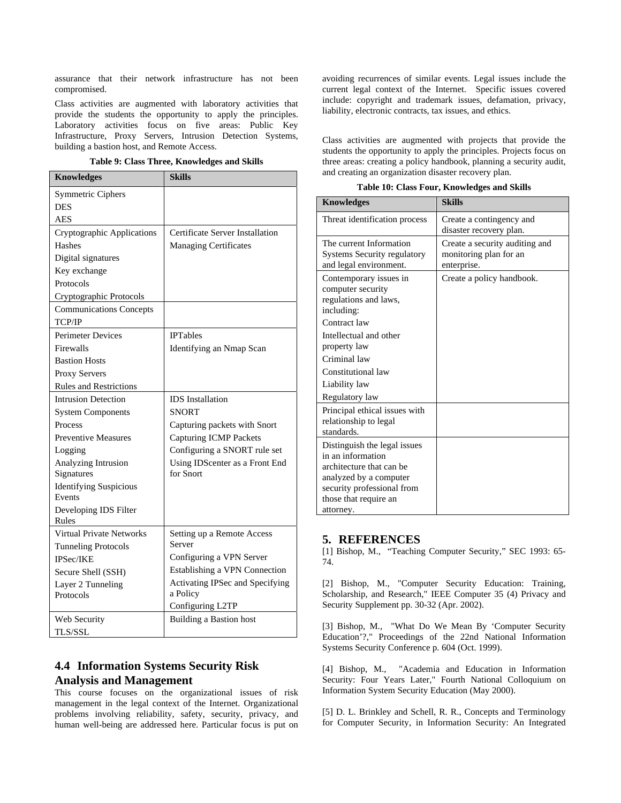assurance that their network infrastructure has not been compromised.

Class activities are augmented with laboratory activities that provide the students the opportunity to apply the principles. Laboratory activities focus on five areas: Public Key Infrastructure, Proxy Servers, Intrusion Detection Systems, building a bastion host, and Remote Access.

|  |  |  | Table 9: Class Three, Knowledges and Skills |  |
|--|--|--|---------------------------------------------|--|
|--|--|--|---------------------------------------------|--|

| <b>Knowledges</b>                       | <b>Skills</b>                   |
|-----------------------------------------|---------------------------------|
| Symmetric Ciphers                       |                                 |
| <b>DES</b>                              |                                 |
| <b>AES</b>                              |                                 |
| <b>Cryptographic Applications</b>       | Certificate Server Installation |
| Hashes                                  | <b>Managing Certificates</b>    |
| Digital signatures                      |                                 |
| Key exchange                            |                                 |
| Protocols                               |                                 |
| Cryptographic Protocols                 |                                 |
| <b>Communications Concepts</b>          |                                 |
| TCP/IP                                  |                                 |
| <b>Perimeter Devices</b>                | <b>IPTables</b>                 |
| Firewalls                               | Identifying an Nmap Scan        |
| <b>Bastion Hosts</b>                    |                                 |
| Proxy Servers                           |                                 |
| <b>Rules and Restrictions</b>           |                                 |
| <b>Intrusion Detection</b>              | <b>IDS</b> Installation         |
| <b>System Components</b>                | <b>SNORT</b>                    |
| Process                                 | Capturing packets with Snort    |
| <b>Preventive Measures</b>              | <b>Capturing ICMP Packets</b>   |
| Logging                                 | Configuring a SNORT rule set    |
| Analyzing Intrusion                     | Using IDScenter as a Front End  |
| Signatures                              | for Snort                       |
| <b>Identifying Suspicious</b><br>Events |                                 |
| Developing IDS Filter                   |                                 |
| Rules                                   |                                 |
| Virtual Private Networks                | Setting up a Remote Access      |
| <b>Tunneling Protocols</b>              | Server                          |
| IPSec/IKE                               | Configuring a VPN Server        |
| Secure Shell (SSH)                      | Establishing a VPN Connection   |
| Layer 2 Tunneling                       | Activating IPSec and Specifying |
| Protocols                               | a Policy                        |
|                                         | Configuring L2TP                |
| Web Security                            | <b>Building a Bastion host</b>  |
| <b>TLS/SSL</b>                          |                                 |

# **4.4 Information Systems Security Risk Analysis and Management**

This course focuses on the organizational issues of risk management in the legal context of the Internet. Organizational problems involving reliability, safety, security, privacy, and human well-being are addressed here. Particular focus is put on

avoiding recurrences of similar events. Legal issues include the current legal context of the Internet. Specific issues covered include: copyright and trademark issues, defamation, privacy, liability, electronic contracts, tax issues, and ethics.

Class activities are augmented with projects that provide the students the opportunity to apply the principles. Projects focus on three areas: creating a policy handbook, planning a security audit, and creating an organization disaster recovery plan.

|  |  |  | Table 10: Class Four, Knowledges and Skills |  |
|--|--|--|---------------------------------------------|--|
|--|--|--|---------------------------------------------|--|

| <b>Knowledges</b>                                                                                                                                                                  | <b>Skills</b>                                                           |
|------------------------------------------------------------------------------------------------------------------------------------------------------------------------------------|-------------------------------------------------------------------------|
| Threat identification process                                                                                                                                                      | Create a contingency and<br>disaster recovery plan.                     |
| The current Information<br><b>Systems Security regulatory</b><br>and legal environment.                                                                                            | Create a security auditing and<br>monitoring plan for an<br>enterprise. |
| Contemporary issues in<br>computer security<br>regulations and laws,<br>including:<br>Contract law<br>Intellectual and other<br>property law<br>Criminal law<br>Constitutional law | Create a policy handbook.                                               |
| Liability law<br>Regulatory law                                                                                                                                                    |                                                                         |
| Principal ethical issues with<br>relationship to legal<br>standards.                                                                                                               |                                                                         |
| Distinguish the legal issues<br>in an information<br>architecture that can be<br>analyzed by a computer<br>security professional from<br>those that require an<br>attorney.        |                                                                         |

### **5. REFERENCES**

[1] Bishop, M., "Teaching Computer Security," SEC 1993: 65- 74.

[2] Bishop, M., "Computer Security Education: Training, Scholarship, and Research," IEEE Computer 35 (4) Privacy and Security Supplement pp. 30-32 (Apr. 2002).

[3] Bishop, M., "What Do We Mean By 'Computer Security Education'?," Proceedings of the 22nd National Information Systems Security Conference p. 604 (Oct. 1999).

[4] Bishop, M., "Academia and Education in Information Security: Four Years Later," Fourth National Colloquium on Information System Security Education (May 2000).

[5] D. L. Brinkley and Schell, R. R., Concepts and Terminology for Computer Security, in Information Security: An Integrated